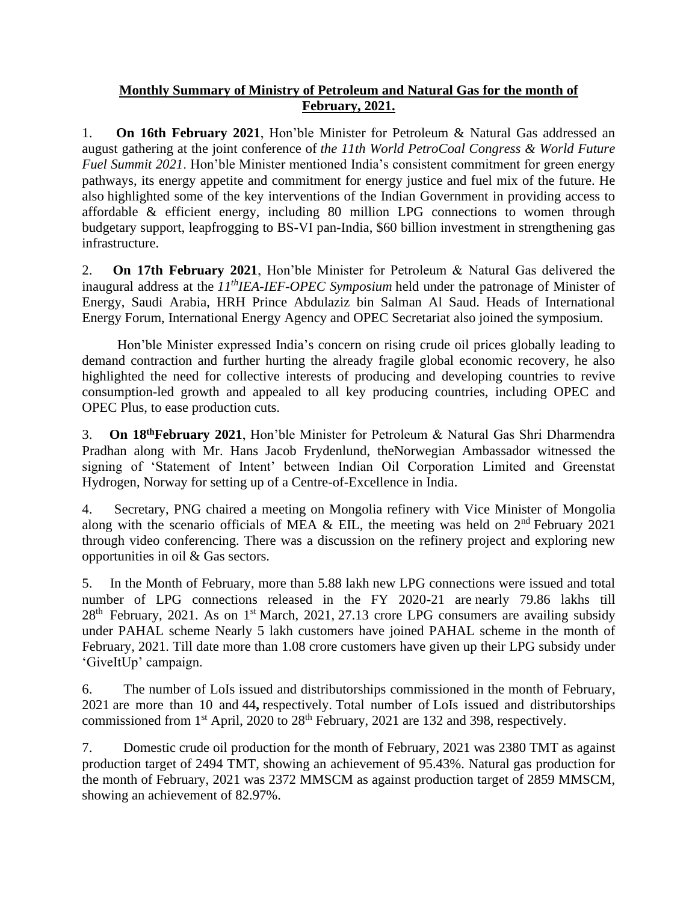## **Monthly Summary of Ministry of Petroleum and Natural Gas for the month of February, 2021.**

1. **On 16th February 2021**, Hon'ble Minister for Petroleum & Natural Gas addressed an august gathering at the joint conference of *the 11th World PetroCoal Congress & World Future Fuel Summit 2021*. Hon'ble Minister mentioned India's consistent commitment for green energy pathways, its energy appetite and commitment for energy justice and fuel mix of the future. He also highlighted some of the key interventions of the Indian Government in providing access to affordable & efficient energy, including 80 million LPG connections to women through budgetary support, leapfrogging to BS-VI pan-India, \$60 billion investment in strengthening gas infrastructure.

2. **On 17th February 2021**, Hon'ble Minister for Petroleum & Natural Gas delivered the inaugural address at the *11thIEA-IEF-OPEC Symposium* held under the patronage of Minister of Energy, Saudi Arabia, HRH Prince Abdulaziz bin Salman Al Saud. Heads of International Energy Forum, International Energy Agency and OPEC Secretariat also joined the symposium.

Hon'ble Minister expressed India's concern on rising crude oil prices globally leading to demand contraction and further hurting the already fragile global economic recovery, he also highlighted the need for collective interests of producing and developing countries to revive consumption-led growth and appealed to all key producing countries, including OPEC and OPEC Plus, to ease production cuts.

3. **On 18thFebruary 2021**, Hon'ble Minister for Petroleum & Natural Gas Shri Dharmendra Pradhan along with Mr. Hans Jacob Frydenlund, theNorwegian Ambassador witnessed the signing of 'Statement of Intent' between Indian Oil Corporation Limited and Greenstat Hydrogen, Norway for setting up of a Centre-of-Excellence in India.

4. Secretary, PNG chaired a meeting on Mongolia refinery with Vice Minister of Mongolia along with the scenario officials of MEA & EIL, the meeting was held on  $2<sup>nd</sup>$  February 2021 through video conferencing. There was a discussion on the refinery project and exploring new opportunities in oil & Gas sectors.

5. In the Month of February, more than 5.88 lakh new LPG connections were issued and total number of LPG connections released in the FY 2020-21 are nearly 79.86 lakhs till 28<sup>th</sup> February, 2021. As on 1<sup>st</sup> March, 2021, 27.13 crore LPG consumers are availing subsidy under PAHAL scheme Nearly 5 lakh customers have joined PAHAL scheme in the month of February, 2021. Till date more than 1.08 crore customers have given up their LPG subsidy under 'GiveItUp' campaign.

6. The number of LoIs issued and distributorships commissioned in the month of February, 2021 are more than 10 and 44**,** respectively. Total number of LoIs issued and distributorships commissioned from  $1<sup>st</sup>$  April, 2020 to  $28<sup>th</sup>$  February, 2021 are 132 and 398, respectively.

7. Domestic crude oil production for the month of February, 2021 was 2380 TMT as against production target of 2494 TMT, showing an achievement of 95.43%. Natural gas production for the month of February, 2021 was 2372 MMSCM as against production target of 2859 MMSCM, showing an achievement of 82.97%.